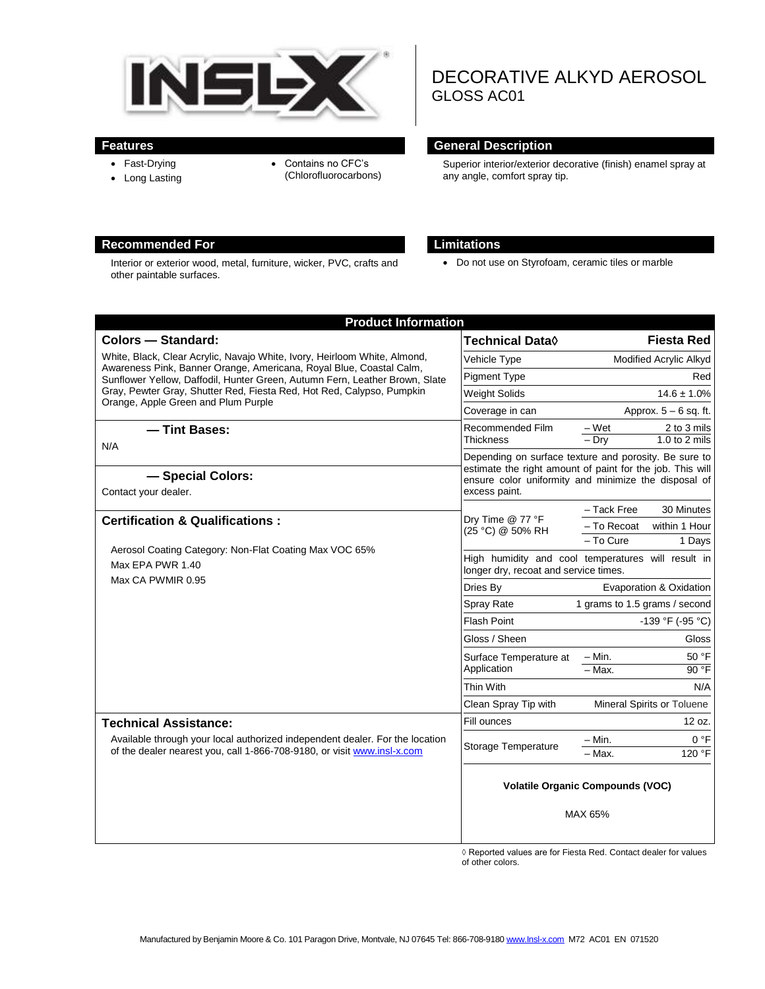

- Fast-Drying
- Long Lasting
- Contains no CFC's (Chlorofluorocarbons)
- DECORATIVE ALKYD AEROSOL GLOSS AC01

# **Features General Description**

Superior interior/exterior decorative (finish) enamel spray at any angle, comfort spray tip.

## **Recommended For Limitations**

Interior or exterior wood, metal, furniture, wicker, PVC, crafts and other paintable surfaces.

Do not use on Styrofoam, ceramic tiles or marble

| <b>Product Information</b>                                                                                                                                                                                                                                                                                                                      |                                                                                             |                                                                                                                    |
|-------------------------------------------------------------------------------------------------------------------------------------------------------------------------------------------------------------------------------------------------------------------------------------------------------------------------------------------------|---------------------------------------------------------------------------------------------|--------------------------------------------------------------------------------------------------------------------|
| <b>Colors - Standard:</b>                                                                                                                                                                                                                                                                                                                       | <b>Technical Data</b> ♦                                                                     | <b>Fiesta Red</b>                                                                                                  |
| White, Black, Clear Acrylic, Navajo White, Ivory, Heirloom White, Almond,<br>Awareness Pink, Banner Orange, Americana, Royal Blue, Coastal Calm,<br>Sunflower Yellow, Daffodil, Hunter Green, Autumn Fern, Leather Brown, Slate<br>Gray, Pewter Gray, Shutter Red, Fiesta Red, Hot Red, Calypso, Pumpkin<br>Orange, Apple Green and Plum Purple | Vehicle Type                                                                                | Modified Acrylic Alkyd                                                                                             |
|                                                                                                                                                                                                                                                                                                                                                 | <b>Pigment Type</b>                                                                         | Red                                                                                                                |
|                                                                                                                                                                                                                                                                                                                                                 | <b>Weight Solids</b>                                                                        | $14.6 \pm 1.0\%$                                                                                                   |
|                                                                                                                                                                                                                                                                                                                                                 | Coverage in can                                                                             | Approx. $5 - 6$ sq. ft.                                                                                            |
| - Tint Bases:<br>N/A                                                                                                                                                                                                                                                                                                                            | Recommended Film                                                                            | – Wet<br>2 to 3 mils                                                                                               |
|                                                                                                                                                                                                                                                                                                                                                 | Thickness                                                                                   | $-$ Drv<br>1.0 to $2$ mils                                                                                         |
|                                                                                                                                                                                                                                                                                                                                                 |                                                                                             | Depending on surface texture and porosity. Be sure to<br>estimate the right amount of paint for the job. This will |
| - Special Colors:                                                                                                                                                                                                                                                                                                                               | ensure color uniformity and minimize the disposal of<br>excess paint.                       |                                                                                                                    |
| Contact your dealer.                                                                                                                                                                                                                                                                                                                            |                                                                                             |                                                                                                                    |
| <b>Certification &amp; Qualifications:</b><br>Aerosol Coating Category: Non-Flat Coating Max VOC 65%<br>Max EPA PWR 1.40<br>Max CA PWMIR 0.95                                                                                                                                                                                                   | Dry Time @ 77 °F<br>(25 °C) @ 50% RH                                                        | 30 Minutes<br>- Tack Free                                                                                          |
|                                                                                                                                                                                                                                                                                                                                                 |                                                                                             | - To Recoat<br>within 1 Hour<br>- To Cure<br>1 Days                                                                |
|                                                                                                                                                                                                                                                                                                                                                 |                                                                                             |                                                                                                                    |
|                                                                                                                                                                                                                                                                                                                                                 | High humidity and cool temperatures will result in<br>longer dry, recoat and service times. |                                                                                                                    |
|                                                                                                                                                                                                                                                                                                                                                 | Dries By                                                                                    | Evaporation & Oxidation                                                                                            |
|                                                                                                                                                                                                                                                                                                                                                 | <b>Spray Rate</b>                                                                           | 1 grams to 1.5 grams / second                                                                                      |
|                                                                                                                                                                                                                                                                                                                                                 | <b>Flash Point</b>                                                                          | $-139 °F (-95 °C)$                                                                                                 |
|                                                                                                                                                                                                                                                                                                                                                 | Gloss / Sheen                                                                               | Gloss                                                                                                              |
|                                                                                                                                                                                                                                                                                                                                                 | Surface Temperature at<br>Application                                                       | 50 °F<br>– Min.                                                                                                    |
|                                                                                                                                                                                                                                                                                                                                                 |                                                                                             | 90 °F<br>$=$ Max.                                                                                                  |
|                                                                                                                                                                                                                                                                                                                                                 | Thin With                                                                                   | N/A                                                                                                                |
|                                                                                                                                                                                                                                                                                                                                                 | Clean Spray Tip with                                                                        | Mineral Spirits or Toluene                                                                                         |
| <b>Technical Assistance:</b>                                                                                                                                                                                                                                                                                                                    | Fill ounces                                                                                 | 12 oz.                                                                                                             |
| Available through your local authorized independent dealer. For the location<br>of the dealer nearest you, call 1-866-708-9180, or visit www.insl-x.com                                                                                                                                                                                         | Storage Temperature                                                                         | 0 °F<br>$-$ Min.                                                                                                   |
|                                                                                                                                                                                                                                                                                                                                                 |                                                                                             | 120 °F<br>- Max.                                                                                                   |
|                                                                                                                                                                                                                                                                                                                                                 | <b>Volatile Organic Compounds (VOC)</b>                                                     |                                                                                                                    |
|                                                                                                                                                                                                                                                                                                                                                 |                                                                                             | MAX 65%                                                                                                            |

 $\Diamond$  Reported values are for Fiesta Red. Contact dealer for values of other colors.